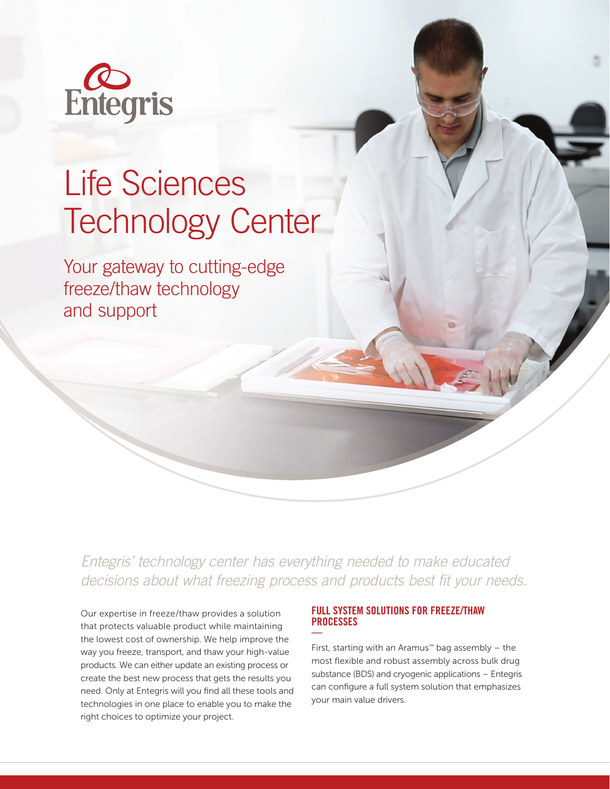

## Life Sciences Technology Center

Your gateway to cutting-edge freeze/thaw technology and support

*Entegris' technology center has everything needed to make educated decisions about what freezing process and products best fit your needs.* 

Our expertise in freeze/thaw provides a solution that protects valuable product while maintaining the lowest cost of ownership. We help improve the way you freeze, transport, and thaw your high-value products. We can either update an existing process or create the best new process that gets the results you need. Only at Entegris will you find all these tools and technologies in one place to enable you to make the right choices to optimize your project.

## FULL SYSTEM SOLUTIONS FOR FREEZE/THAW **PROCESSES** —

First, starting with an Aramus™ bag assembly  $-$  the most flexible and robust assembly across bulk drug substance (BDS) and cryogenic applications – Entegris can configure a full system solution that emphasizes your main value drivers.